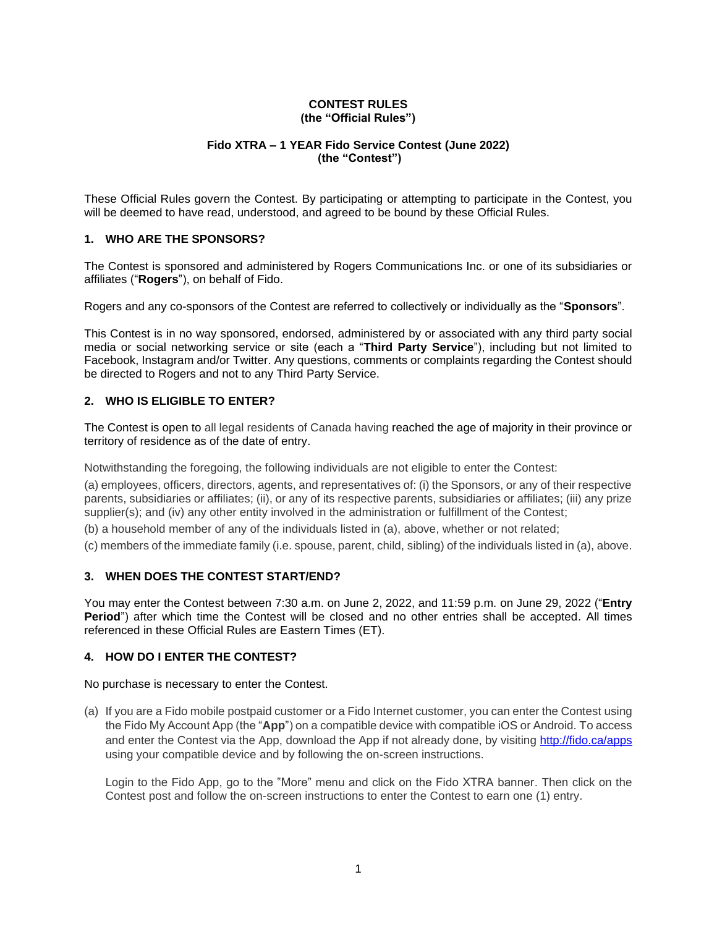#### **CONTEST RULES (the "Official Rules")**

## **Fido XTRA – 1 YEAR Fido Service Contest (June 2022) (the "Contest")**

These Official Rules govern the Contest. By participating or attempting to participate in the Contest, you will be deemed to have read, understood, and agreed to be bound by these Official Rules.

## **1. WHO ARE THE SPONSORS?**

The Contest is sponsored and administered by Rogers Communications Inc. or one of its subsidiaries or affiliates ("**Rogers**"), on behalf of Fido.

Rogers and any co-sponsors of the Contest are referred to collectively or individually as the "**Sponsors**".

This Contest is in no way sponsored, endorsed, administered by or associated with any third party social media or social networking service or site (each a "**Third Party Service**"), including but not limited to Facebook, Instagram and/or Twitter. Any questions, comments or complaints regarding the Contest should be directed to Rogers and not to any Third Party Service.

## **2. WHO IS ELIGIBLE TO ENTER?**

The Contest is open to all legal residents of Canada having reached the age of majority in their province or territory of residence as of the date of entry.

Notwithstanding the foregoing, the following individuals are not eligible to enter the Contest:

(a) employees, officers, directors, agents, and representatives of: (i) the Sponsors, or any of their respective parents, subsidiaries or affiliates; (ii), or any of its respective parents, subsidiaries or affiliates; (iii) any prize supplier(s); and (iv) any other entity involved in the administration or fulfillment of the Contest;

(b) a household member of any of the individuals listed in (a), above, whether or not related;

(c) members of the immediate family (i.e. spouse, parent, child, sibling) of the individuals listed in (a), above.

### **3. WHEN DOES THE CONTEST START/END?**

You may enter the Contest between 7:30 a.m. on June 2, 2022, and 11:59 p.m. on June 29, 2022 ("**Entry Period**") after which time the Contest will be closed and no other entries shall be accepted. All times referenced in these Official Rules are Eastern Times (ET).

## **4. HOW DO I ENTER THE CONTEST?**

No purchase is necessary to enter the Contest.

(a) If you are a Fido mobile postpaid customer or a Fido Internet customer, you can enter the Contest using the Fido My Account App (the "**App**") on a compatible device with compatible iOS or Android. To access and enter the Contest via the App, download the App if not already done, by visiting <http://fido.ca/apps> using your compatible device and by following the on-screen instructions.

Login to the Fido App, go to the "More" menu and click on the Fido XTRA banner. Then click on the Contest post and follow the on-screen instructions to enter the Contest to earn one (1) entry.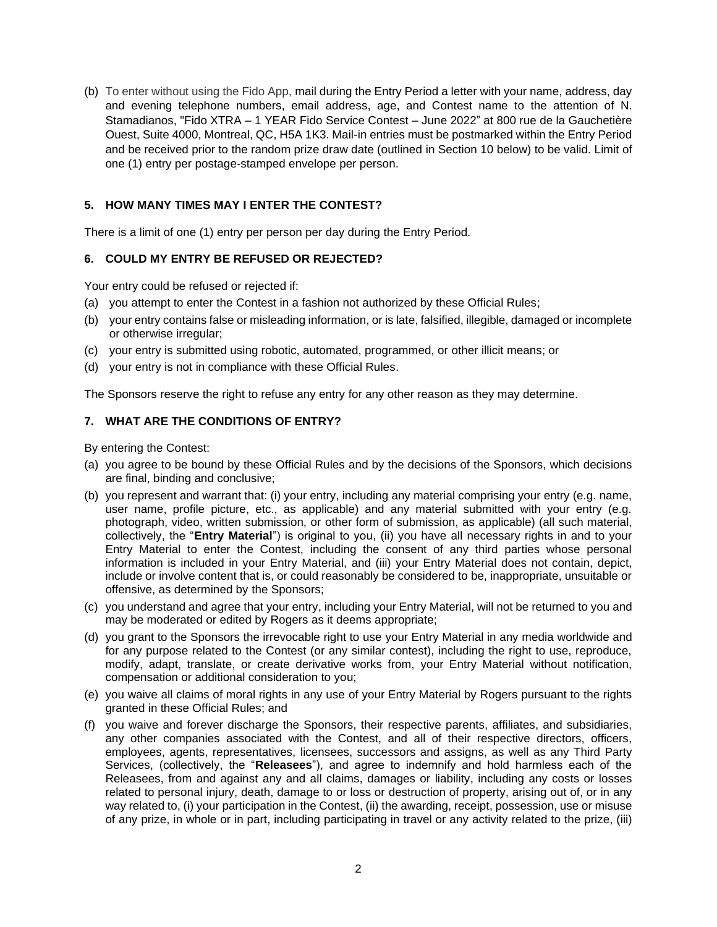(b) To enter without using the Fido App, mail during the Entry Period a letter with your name, address, day and evening telephone numbers, email address, age, and Contest name to the attention of N. Stamadianos, "Fido XTRA – 1 YEAR Fido Service Contest – June 2022" at 800 rue de la Gauchetière Ouest, Suite 4000, Montreal, QC, H5A 1K3. Mail-in entries must be postmarked within the Entry Period and be received prior to the random prize draw date (outlined in Section 10 below) to be valid. Limit of one (1) entry per postage-stamped envelope per person.

# **5. HOW MANY TIMES MAY I ENTER THE CONTEST?**

There is a limit of one (1) entry per person per day during the Entry Period.

## **6. COULD MY ENTRY BE REFUSED OR REJECTED?**

Your entry could be refused or rejected if:

- (a) you attempt to enter the Contest in a fashion not authorized by these Official Rules;
- (b) your entry contains false or misleading information, or is late, falsified, illegible, damaged or incomplete or otherwise irregular;
- (c) your entry is submitted using robotic, automated, programmed, or other illicit means; or
- (d) your entry is not in compliance with these Official Rules.

The Sponsors reserve the right to refuse any entry for any other reason as they may determine.

## **7. WHAT ARE THE CONDITIONS OF ENTRY?**

By entering the Contest:

- (a) you agree to be bound by these Official Rules and by the decisions of the Sponsors, which decisions are final, binding and conclusive;
- (b) you represent and warrant that: (i) your entry, including any material comprising your entry (e.g. name, user name, profile picture, etc., as applicable) and any material submitted with your entry (e.g. photograph, video, written submission, or other form of submission, as applicable) (all such material, collectively, the "**Entry Material**") is original to you, (ii) you have all necessary rights in and to your Entry Material to enter the Contest, including the consent of any third parties whose personal information is included in your Entry Material, and (iii) your Entry Material does not contain, depict, include or involve content that is, or could reasonably be considered to be, inappropriate, unsuitable or offensive, as determined by the Sponsors;
- (c) you understand and agree that your entry, including your Entry Material, will not be returned to you and may be moderated or edited by Rogers as it deems appropriate;
- (d) you grant to the Sponsors the irrevocable right to use your Entry Material in any media worldwide and for any purpose related to the Contest (or any similar contest), including the right to use, reproduce, modify, adapt, translate, or create derivative works from, your Entry Material without notification, compensation or additional consideration to you;
- (e) you waive all claims of moral rights in any use of your Entry Material by Rogers pursuant to the rights granted in these Official Rules; and
- (f) you waive and forever discharge the Sponsors, their respective parents, affiliates, and subsidiaries, any other companies associated with the Contest, and all of their respective directors, officers, employees, agents, representatives, licensees, successors and assigns, as well as any Third Party Services, (collectively, the "**Releasees**"), and agree to indemnify and hold harmless each of the Releasees, from and against any and all claims, damages or liability, including any costs or losses related to personal injury, death, damage to or loss or destruction of property, arising out of, or in any way related to, (i) your participation in the Contest, (ii) the awarding, receipt, possession, use or misuse of any prize, in whole or in part, including participating in travel or any activity related to the prize, (iii)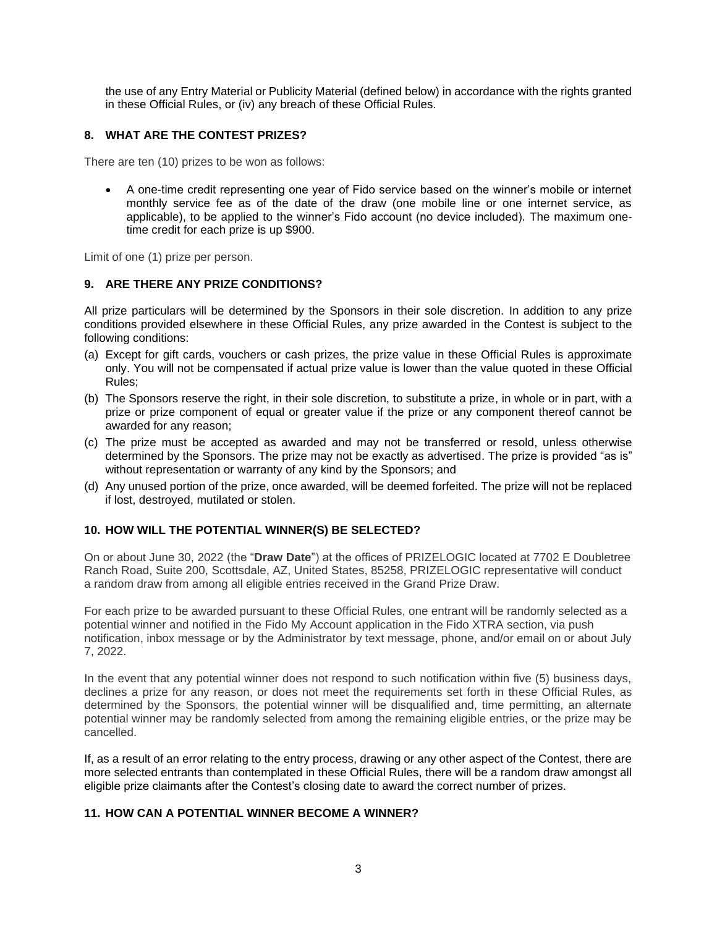the use of any Entry Material or Publicity Material (defined below) in accordance with the rights granted in these Official Rules, or (iv) any breach of these Official Rules.

## **8. WHAT ARE THE CONTEST PRIZES?**

There are ten (10) prizes to be won as follows:

• A one-time credit representing one year of Fido service based on the winner's mobile or internet monthly service fee as of the date of the draw (one mobile line or one internet service, as applicable), to be applied to the winner's Fido account (no device included). The maximum onetime credit for each prize is up \$900.

Limit of one (1) prize per person.

## **9. ARE THERE ANY PRIZE CONDITIONS?**

All prize particulars will be determined by the Sponsors in their sole discretion. In addition to any prize conditions provided elsewhere in these Official Rules, any prize awarded in the Contest is subject to the following conditions:

- (a) Except for gift cards, vouchers or cash prizes, the prize value in these Official Rules is approximate only. You will not be compensated if actual prize value is lower than the value quoted in these Official Rules;
- (b) The Sponsors reserve the right, in their sole discretion, to substitute a prize, in whole or in part, with a prize or prize component of equal or greater value if the prize or any component thereof cannot be awarded for any reason;
- (c) The prize must be accepted as awarded and may not be transferred or resold, unless otherwise determined by the Sponsors. The prize may not be exactly as advertised. The prize is provided "as is" without representation or warranty of any kind by the Sponsors; and
- (d) Any unused portion of the prize, once awarded, will be deemed forfeited. The prize will not be replaced if lost, destroyed, mutilated or stolen.

#### **10. HOW WILL THE POTENTIAL WINNER(S) BE SELECTED?**

On or about June 30, 2022 (the "**Draw Date**") at the offices of PRIZELOGIC located at 7702 E Doubletree Ranch Road, Suite 200, Scottsdale, AZ, United States, 85258, PRIZELOGIC representative will conduct a random draw from among all eligible entries received in the Grand Prize Draw.

For each prize to be awarded pursuant to these Official Rules, one entrant will be randomly selected as a potential winner and notified in the Fido My Account application in the Fido XTRA section, via push notification, inbox message or by the Administrator by text message, phone, and/or email on or about July 7, 2022.

In the event that any potential winner does not respond to such notification within five (5) business days, declines a prize for any reason, or does not meet the requirements set forth in these Official Rules, as determined by the Sponsors, the potential winner will be disqualified and, time permitting, an alternate potential winner may be randomly selected from among the remaining eligible entries, or the prize may be cancelled.

If, as a result of an error relating to the entry process, drawing or any other aspect of the Contest, there are more selected entrants than contemplated in these Official Rules, there will be a random draw amongst all eligible prize claimants after the Contest's closing date to award the correct number of prizes.

#### **11. HOW CAN A POTENTIAL WINNER BECOME A WINNER?**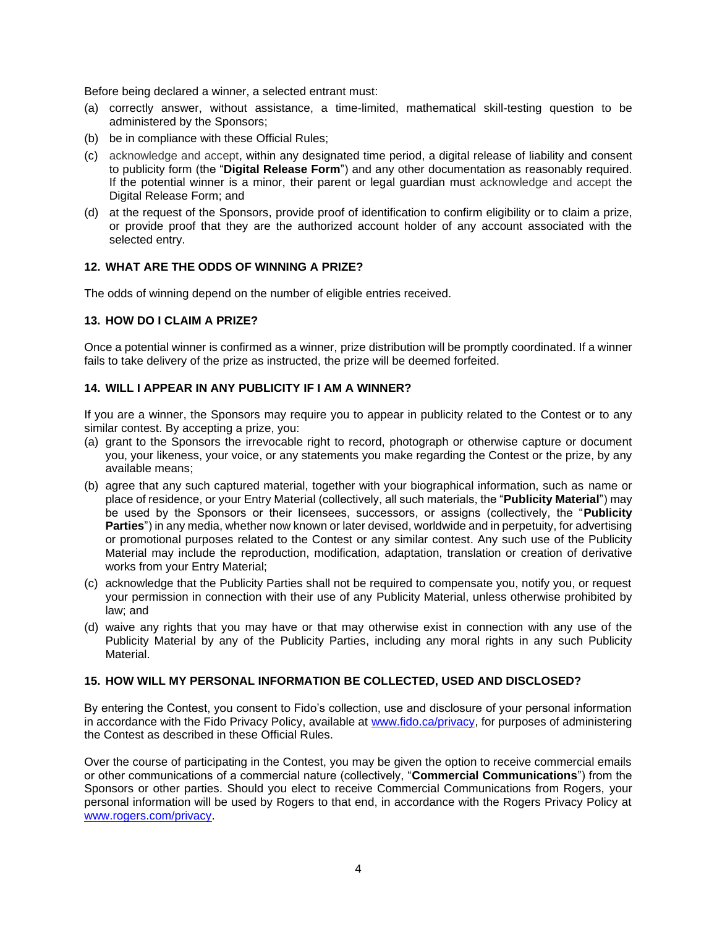Before being declared a winner, a selected entrant must:

- (a) correctly answer, without assistance, a time-limited, mathematical skill-testing question to be administered by the Sponsors;
- (b) be in compliance with these Official Rules;
- (c) acknowledge and accept, within any designated time period, a digital release of liability and consent to publicity form (the "**Digital Release Form**") and any other documentation as reasonably required. If the potential winner is a minor, their parent or legal guardian must acknowledge and accept the Digital Release Form; and
- (d) at the request of the Sponsors, provide proof of identification to confirm eligibility or to claim a prize, or provide proof that they are the authorized account holder of any account associated with the selected entry.

## **12. WHAT ARE THE ODDS OF WINNING A PRIZE?**

The odds of winning depend on the number of eligible entries received.

#### **13. HOW DO I CLAIM A PRIZE?**

Once a potential winner is confirmed as a winner, prize distribution will be promptly coordinated. If a winner fails to take delivery of the prize as instructed, the prize will be deemed forfeited.

# **14. WILL I APPEAR IN ANY PUBLICITY IF I AM A WINNER?**

If you are a winner, the Sponsors may require you to appear in publicity related to the Contest or to any similar contest. By accepting a prize, you:

- (a) grant to the Sponsors the irrevocable right to record, photograph or otherwise capture or document you, your likeness, your voice, or any statements you make regarding the Contest or the prize, by any available means;
- (b) agree that any such captured material, together with your biographical information, such as name or place of residence, or your Entry Material (collectively, all such materials, the "**Publicity Material**") may be used by the Sponsors or their licensees, successors, or assigns (collectively, the "**Publicity Parties**") in any media, whether now known or later devised, worldwide and in perpetuity, for advertising or promotional purposes related to the Contest or any similar contest. Any such use of the Publicity Material may include the reproduction, modification, adaptation, translation or creation of derivative works from your Entry Material;
- (c) acknowledge that the Publicity Parties shall not be required to compensate you, notify you, or request your permission in connection with their use of any Publicity Material, unless otherwise prohibited by law; and
- (d) waive any rights that you may have or that may otherwise exist in connection with any use of the Publicity Material by any of the Publicity Parties, including any moral rights in any such Publicity Material.

#### **15. HOW WILL MY PERSONAL INFORMATION BE COLLECTED, USED AND DISCLOSED?**

By entering the Contest, you consent to Fido's collection, use and disclosure of your personal information in accordance with the Fido Privacy Policy, available at [www.fido.ca/privacy,](https://www.fido.ca/privacy) for purposes of administering the Contest as described in these Official Rules.

Over the course of participating in the Contest, you may be given the option to receive commercial emails or other communications of a commercial nature (collectively, "**Commercial Communications**") from the Sponsors or other parties. Should you elect to receive Commercial Communications from Rogers, your personal information will be used by Rogers to that end, in accordance with the Rogers Privacy Policy at [www.rogers.com/privacy.](http://www.rogers.com/privacy)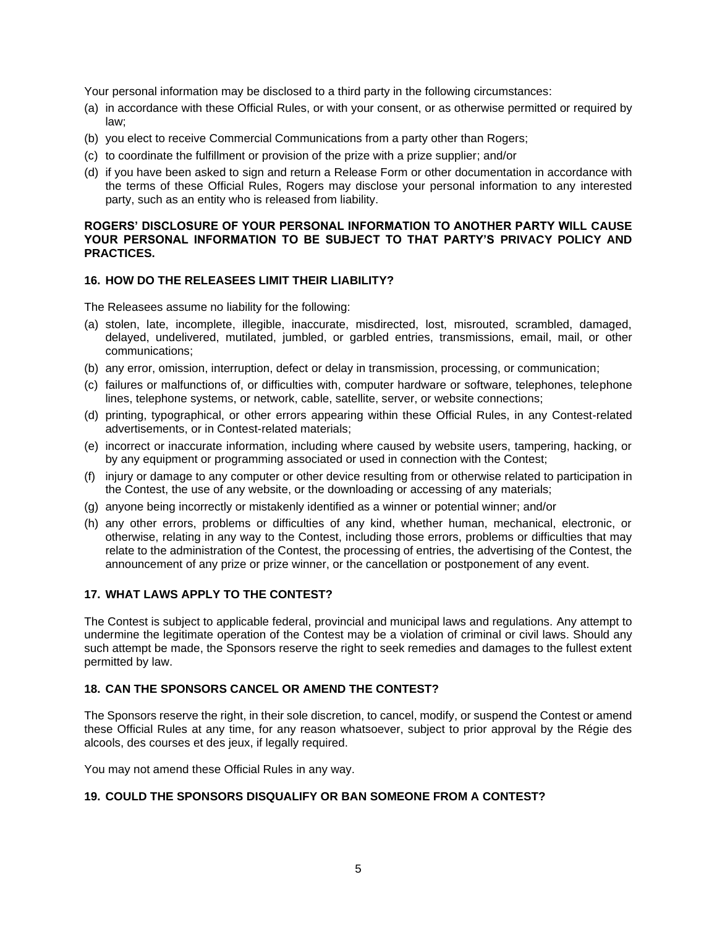Your personal information may be disclosed to a third party in the following circumstances:

- (a) in accordance with these Official Rules, or with your consent, or as otherwise permitted or required by law;
- (b) you elect to receive Commercial Communications from a party other than Rogers;
- (c) to coordinate the fulfillment or provision of the prize with a prize supplier; and/or
- (d) if you have been asked to sign and return a Release Form or other documentation in accordance with the terms of these Official Rules, Rogers may disclose your personal information to any interested party, such as an entity who is released from liability.

### **ROGERS' DISCLOSURE OF YOUR PERSONAL INFORMATION TO ANOTHER PARTY WILL CAUSE YOUR PERSONAL INFORMATION TO BE SUBJECT TO THAT PARTY'S PRIVACY POLICY AND PRACTICES.**

#### **16. HOW DO THE RELEASEES LIMIT THEIR LIABILITY?**

The Releasees assume no liability for the following:

- (a) stolen, late, incomplete, illegible, inaccurate, misdirected, lost, misrouted, scrambled, damaged, delayed, undelivered, mutilated, jumbled, or garbled entries, transmissions, email, mail, or other communications;
- (b) any error, omission, interruption, defect or delay in transmission, processing, or communication;
- (c) failures or malfunctions of, or difficulties with, computer hardware or software, telephones, telephone lines, telephone systems, or network, cable, satellite, server, or website connections;
- (d) printing, typographical, or other errors appearing within these Official Rules, in any Contest-related advertisements, or in Contest-related materials;
- (e) incorrect or inaccurate information, including where caused by website users, tampering, hacking, or by any equipment or programming associated or used in connection with the Contest;
- (f) injury or damage to any computer or other device resulting from or otherwise related to participation in the Contest, the use of any website, or the downloading or accessing of any materials;
- (g) anyone being incorrectly or mistakenly identified as a winner or potential winner; and/or
- (h) any other errors, problems or difficulties of any kind, whether human, mechanical, electronic, or otherwise, relating in any way to the Contest, including those errors, problems or difficulties that may relate to the administration of the Contest, the processing of entries, the advertising of the Contest, the announcement of any prize or prize winner, or the cancellation or postponement of any event.

### **17. WHAT LAWS APPLY TO THE CONTEST?**

The Contest is subject to applicable federal, provincial and municipal laws and regulations. Any attempt to undermine the legitimate operation of the Contest may be a violation of criminal or civil laws. Should any such attempt be made, the Sponsors reserve the right to seek remedies and damages to the fullest extent permitted by law.

## **18. CAN THE SPONSORS CANCEL OR AMEND THE CONTEST?**

The Sponsors reserve the right, in their sole discretion, to cancel, modify, or suspend the Contest or amend these Official Rules at any time, for any reason whatsoever, subject to prior approval by the Régie des alcools, des courses et des jeux, if legally required.

You may not amend these Official Rules in any way.

### **19. COULD THE SPONSORS DISQUALIFY OR BAN SOMEONE FROM A CONTEST?**